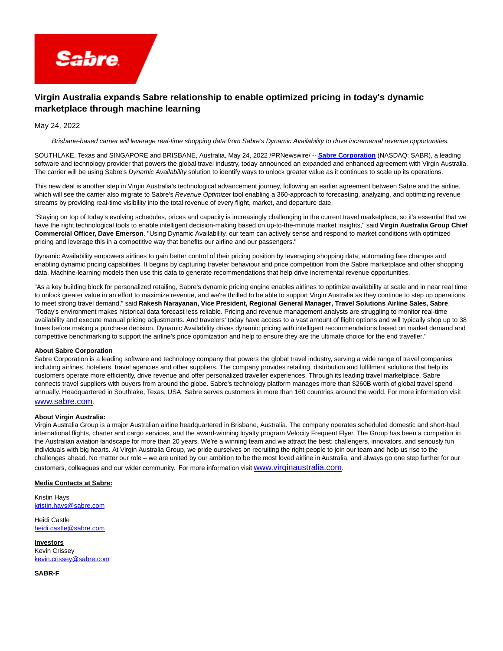

## **Virgin Australia expands Sabre relationship to enable optimized pricing in today's dynamic marketplace through machine learning**

May 24, 2022

Brisbane-based carrier will leverage real-time shopping data from Sabre's Dynamic Availability to drive incremental revenue opportunities.

SOUTHLAKE, Texas and SINGAPORE and BRISBANE, Australia, May 24, 2022 /PRNewswire/ -- **[Sabre Corporation](https://c212.net/c/link/?t=0&l=en&o=3546591-1&h=2858494280&u=http%3A%2F%2Fwww.sabre.com%2F&a=Sabre+Corporation)** (NASDAQ: SABR), a leading software and technology provider that powers the global travel industry, today announced an expanded and enhanced agreement with Virgin Australia. The carrier will be using Sabre's Dynamic Availability solution to identify ways to unlock greater value as it continues to scale up its operations.

This new deal is another step in Virgin Australia's technological advancement journey, following an earlier agreement between Sabre and the airline, which will see the carrier also migrate to Sabre's Revenue Optimizer tool enabling a 360-approach to forecasting, analyzing, and optimizing revenue streams by providing real-time visibility into the total revenue of every flight, market, and departure date.

"Staying on top of today's evolving schedules, prices and capacity is increasingly challenging in the current travel marketplace, so it's essential that we have the right technological tools to enable intelligent decision-making based on up-to-the-minute market insights," said **Virgin Australia Group Chief Commercial Officer, Dave Emerson**. "Using Dynamic Availability, our team can actively sense and respond to market conditions with optimized pricing and leverage this in a competitive way that benefits our airline and our passengers."

Dynamic Availability empowers airlines to gain better control of their pricing position by leveraging shopping data, automating fare changes and enabling dynamic pricing capabilities. It begins by capturing traveler behaviour and price competition from the Sabre marketplace and other shopping data. Machine-learning models then use this data to generate recommendations that help drive incremental revenue opportunities.

"As a key building block for personalized retailing, Sabre's dynamic pricing engine enables airlines to optimize availability at scale and in near real time to unlock greater value in an effort to maximize revenue, and we're thrilled to be able to support Virgin Australia as they continue to step up operations to meet strong travel demand," said **Rakesh Narayanan, Vice President, Regional General Manager, Travel Solutions Airline Sales, Sabre**. "Today's environment makes historical data forecast less reliable. Pricing and revenue management analysts are struggling to monitor real-time availability and execute manual pricing adjustments. And travelers' today have access to a vast amount of flight options and will typically shop up to 38 times before making a purchase decision. Dynamic Availability drives dynamic pricing with intelligent recommendations based on market demand and competitive benchmarking to support the airline's price optimization and help to ensure they are the ultimate choice for the end traveller."

## **About Sabre Corporation**

Sabre Corporation is a leading software and technology company that powers the global travel industry, serving a wide range of travel companies including airlines, hoteliers, travel agencies and other suppliers. The company provides retailing, distribution and fulfilment solutions that help its customers operate more efficiently, drive revenue and offer personalized traveller experiences. Through its leading travel marketplace, Sabre connects travel suppliers with buyers from around the globe. Sabre's technology platform manages more than \$260B worth of global travel spend annually. Headquartered in Southlake, Texas, USA, Sabre serves customers in more than 160 countries around the world. For more information visit [www.sabre.com](https://c212.net/c/link/?t=0&l=en&o=3546591-1&h=4137011155&u=http%3A%2F%2Fwww.sabre.com%2F&a=www.sabre.com).  

## **About Virgin Australia:**

Virgin Australia Group is a major Australian airline headquartered in Brisbane, Australia. The company operates scheduled domestic and short-haul international flights, charter and cargo services, and the award-winning loyalty program Velocity Frequent Flyer. The Group has been a competitor in the Australian aviation landscape for more than 20 years. We're a winning team and we attract the best: challengers, innovators, and seriously fun individuals with big hearts. At Virgin Australia Group, we pride ourselves on recruiting the right people to join our team and help us rise to the challenges ahead. No matter our role – we are united by our ambition to be the most loved airline in Australia, and always go one step further for our customers, colleagues and our wider community.  For more information visit [www.virginaustralia.com](https://c212.net/c/link/?t=0&l=en&o=3546591-1&h=3577868033&u=http%3A%2F%2Fwww.virginaustralia.com%2F&a=www.virginaustralia.com).

## **Media Contacts at Sabre:**

Kristin Hays [kristin.hays@sabre.com](mailto:kristin.hays@sabre.com)

Heidi Castle [heidi.castle@sabre.com](mailto:heidi.castle@sabre.com)

**Investors** Kevin Crissey [kevin.crissey@sabre.com](mailto:kevin.crissey@sabre.com)

**SABR-F**